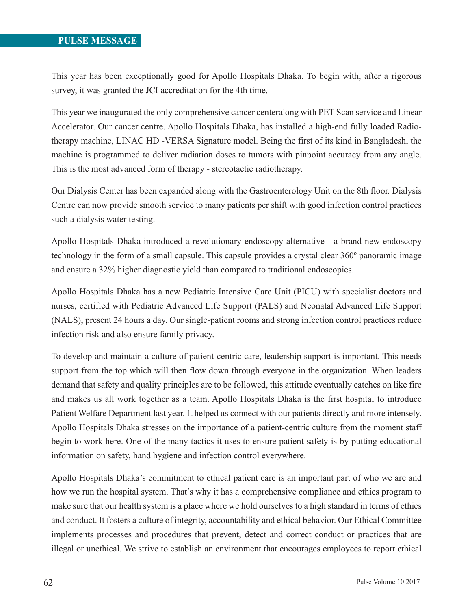## **PULSE MESSAGE**

This year has been exceptionally good for Apollo Hospitals Dhaka. To begin with, after a rigorous survey, it was granted the JCI accreditation for the 4th time.

This year we inaugurated the only comprehensive cancer centeralong with PET Scan service and Linear Accelerator. Our cancer centre. Apollo Hospitals Dhaka, has installed a high-end fully loaded Radiotherapy machine, LINAC HD -VERSA Signature model. Being the first of its kind in Bangladesh, the machine is programmed to deliver radiation doses to tumors with pinpoint accuracy from any angle. This is the most advanced form of therapy - stereotactic radiotherapy.

Our Dialysis Center has been expanded along with the Gastroenterology Unit on the 8th floor. Dialysis Centre can now provide smooth service to many patients per shift with good infection control practices such a dialysis water testing.

Apollo Hospitals Dhaka introduced a revolutionary endoscopy alternative - a brand new endoscopy technology in the form of a small capsule. This capsule provides a crystal clear 360º panoramic image and ensure a 32% higher diagnostic yield than compared to traditional endoscopies.

Apollo Hospitals Dhaka has a new Pediatric Intensive Care Unit (PICU) with specialist doctors and nurses, certified with Pediatric Advanced Life Support (PALS) and Neonatal Advanced Life Support (NALS), present 24 hours a day. Our single-patient rooms and strong infection control practices reduce infection risk and also ensure family privacy.

To develop and maintain a culture of patient-centric care, leadership support is important. This needs support from the top which will then flow down through everyone in the organization. When leaders demand that safety and quality principles are to be followed, this attitude eventually catches on like fire and makes us all work together as a team. Apollo Hospitals Dhaka is the first hospital to introduce Patient Welfare Department last year. It helped us connect with our patients directly and more intensely. Apollo Hospitals Dhaka stresses on the importance of a patient-centric culture from the moment staff begin to work here. One of the many tactics it uses to ensure patient safety is by putting educational information on safety, hand hygiene and infection control everywhere.

Apollo Hospitals Dhaka's commitment to ethical patient care is an important part of who we are and how we run the hospital system. That's why it has a comprehensive compliance and ethics program to make sure that our health system is a place where we hold ourselves to a high standard in terms of ethics and conduct. It fosters a culture of integrity, accountability and ethical behavior. Our Ethical Committee implements processes and procedures that prevent, detect and correct conduct or practices that are illegal or unethical. We strive to establish an environment that encourages employees to report ethical